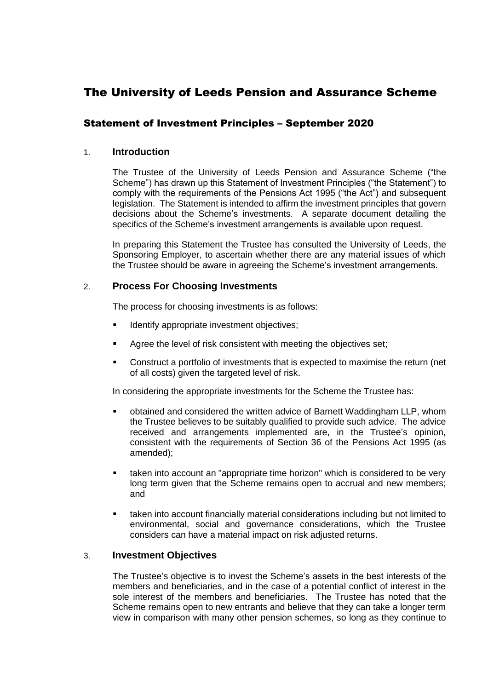# The University of Leeds Pension and Assurance Scheme

# Statement of Investment Principles – September 2020

# 1. **Introduction**

The Trustee of the University of Leeds Pension and Assurance Scheme ("the Scheme") has drawn up this Statement of Investment Principles ("the Statement") to comply with the requirements of the Pensions Act 1995 ("the Act") and subsequent legislation. The Statement is intended to affirm the investment principles that govern decisions about the Scheme's investments. A separate document detailing the specifics of the Scheme's investment arrangements is available upon request.

In preparing this Statement the Trustee has consulted the University of Leeds, the Sponsoring Employer, to ascertain whether there are any material issues of which the Trustee should be aware in agreeing the Scheme's investment arrangements.

# 2. **Process For Choosing Investments**

The process for choosing investments is as follows:

- Identify appropriate investment objectives;
- Agree the level of risk consistent with meeting the objectives set;
- Construct a portfolio of investments that is expected to maximise the return (net of all costs) given the targeted level of risk.

In considering the appropriate investments for the Scheme the Trustee has:

- obtained and considered the written advice of Barnett Waddingham LLP, whom the Trustee believes to be suitably qualified to provide such advice. The advice received and arrangements implemented are, in the Trustee's opinion, consistent with the requirements of Section 36 of the Pensions Act 1995 (as amended);
- taken into account an "appropriate time horizon" which is considered to be very long term given that the Scheme remains open to accrual and new members; and
- taken into account financially material considerations including but not limited to environmental, social and governance considerations, which the Trustee considers can have a material impact on risk adjusted returns.

# 3. **Investment Objectives**

The Trustee's objective is to invest the Scheme's assets in the best interests of the members and beneficiaries, and in the case of a potential conflict of interest in the sole interest of the members and beneficiaries. The Trustee has noted that the Scheme remains open to new entrants and believe that they can take a longer term view in comparison with many other pension schemes, so long as they continue to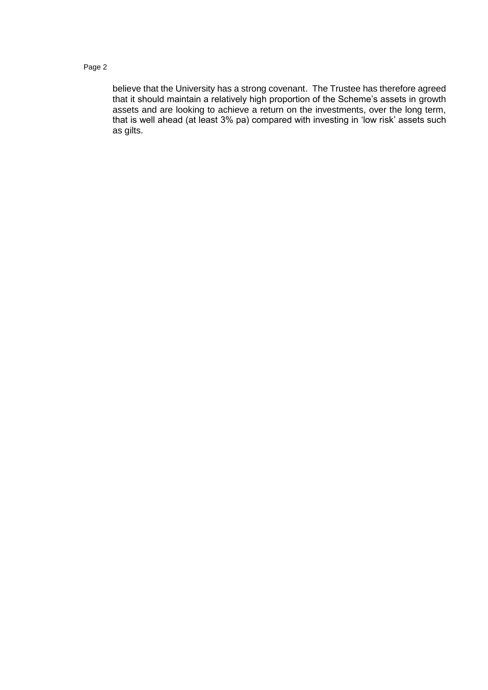believe that the University has a strong covenant. The Trustee has therefore agreed that it should maintain a relatively high proportion of the Scheme's assets in growth assets and are looking to achieve a return on the investments, over the long term, that is well ahead (at least 3% pa) compared with investing in 'low risk' assets such as gilts.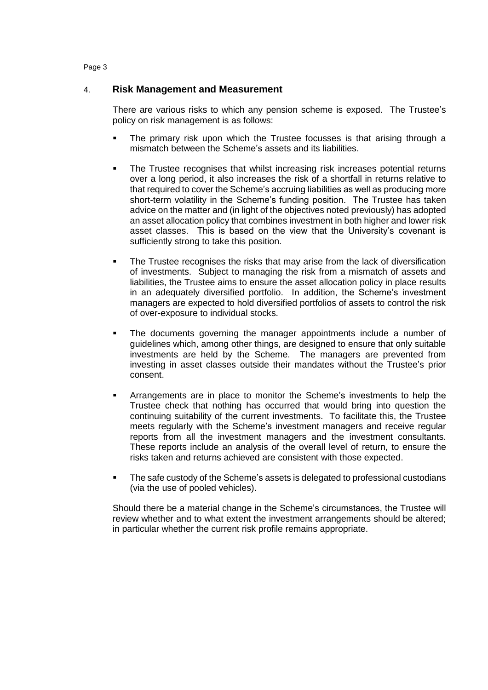# 4. **Risk Management and Measurement**

There are various risks to which any pension scheme is exposed. The Trustee's policy on risk management is as follows:

- The primary risk upon which the Trustee focusses is that arising through a mismatch between the Scheme's assets and its liabilities.
- The Trustee recognises that whilst increasing risk increases potential returns over a long period, it also increases the risk of a shortfall in returns relative to that required to cover the Scheme's accruing liabilities as well as producing more short-term volatility in the Scheme's funding position. The Trustee has taken advice on the matter and (in light of the objectives noted previously) has adopted an asset allocation policy that combines investment in both higher and lower risk asset classes. This is based on the view that the University's covenant is sufficiently strong to take this position.
- The Trustee recognises the risks that may arise from the lack of diversification of investments. Subject to managing the risk from a mismatch of assets and liabilities, the Trustee aims to ensure the asset allocation policy in place results in an adequately diversified portfolio. In addition, the Scheme's investment managers are expected to hold diversified portfolios of assets to control the risk of over-exposure to individual stocks.
- The documents governing the manager appointments include a number of guidelines which, among other things, are designed to ensure that only suitable investments are held by the Scheme. The managers are prevented from investing in asset classes outside their mandates without the Trustee's prior consent.
- Arrangements are in place to monitor the Scheme's investments to help the Trustee check that nothing has occurred that would bring into question the continuing suitability of the current investments. To facilitate this, the Trustee meets regularly with the Scheme's investment managers and receive regular reports from all the investment managers and the investment consultants. These reports include an analysis of the overall level of return, to ensure the risks taken and returns achieved are consistent with those expected.
- The safe custody of the Scheme's assets is delegated to professional custodians (via the use of pooled vehicles).

Should there be a material change in the Scheme's circumstances, the Trustee will review whether and to what extent the investment arrangements should be altered; in particular whether the current risk profile remains appropriate.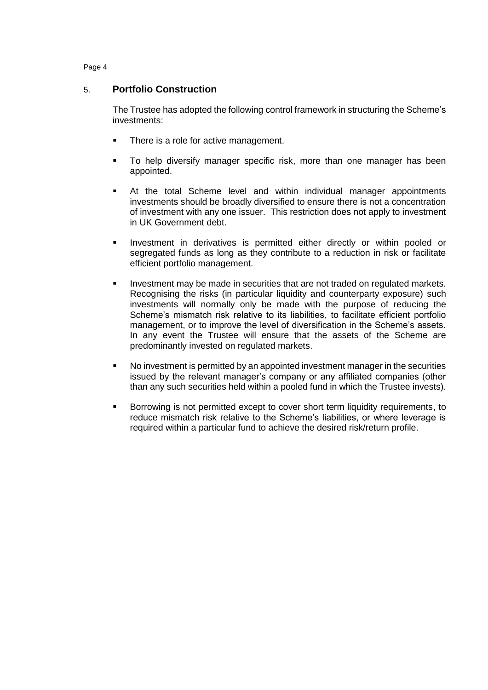# 5. **Portfolio Construction**

The Trustee has adopted the following control framework in structuring the Scheme's investments:

- There is a role for active management.
- To help diversify manager specific risk, more than one manager has been appointed.
- At the total Scheme level and within individual manager appointments investments should be broadly diversified to ensure there is not a concentration of investment with any one issuer. This restriction does not apply to investment in UK Government debt.
- **Investment in derivatives is permitted either directly or within pooled or** segregated funds as long as they contribute to a reduction in risk or facilitate efficient portfolio management.
- Investment may be made in securities that are not traded on regulated markets. Recognising the risks (in particular liquidity and counterparty exposure) such investments will normally only be made with the purpose of reducing the Scheme's mismatch risk relative to its liabilities, to facilitate efficient portfolio management, or to improve the level of diversification in the Scheme's assets. In any event the Trustee will ensure that the assets of the Scheme are predominantly invested on regulated markets.
- No investment is permitted by an appointed investment manager in the securities issued by the relevant manager's company or any affiliated companies (other than any such securities held within a pooled fund in which the Trustee invests).
- Borrowing is not permitted except to cover short term liquidity requirements, to reduce mismatch risk relative to the Scheme's liabilities, or where leverage is required within a particular fund to achieve the desired risk/return profile.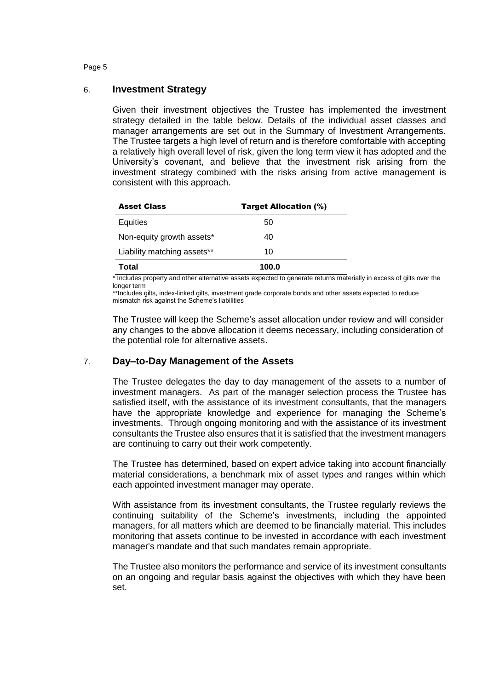# 6. **Investment Strategy**

Given their investment objectives the Trustee has implemented the investment strategy detailed in the table below. Details of the individual asset classes and manager arrangements are set out in the Summary of Investment Arrangements. The Trustee targets a high level of return and is therefore comfortable with accepting a relatively high overall level of risk, given the long term view it has adopted and the University's covenant, and believe that the investment risk arising from the investment strategy combined with the risks arising from active management is consistent with this approach.

| <b>Asset Class</b>          | <b>Target Allocation (%)</b> |
|-----------------------------|------------------------------|
| Equities                    | 50                           |
| Non-equity growth assets*   | 40                           |
| Liability matching assets** | 10                           |
| Total                       | 100.0                        |

\* Includes property and other alternative assets expected to generate returns materially in excess of gilts over the longer term

\*\*Includes gilts, index-linked gilts, investment grade corporate bonds and other assets expected to reduce mismatch risk against the Scheme's liabilities

The Trustee will keep the Scheme's asset allocation under review and will consider any changes to the above allocation it deems necessary, including consideration of the potential role for alternative assets.

# 7. **Day–to-Day Management of the Assets**

The Trustee delegates the day to day management of the assets to a number of investment managers. As part of the manager selection process the Trustee has satisfied itself, with the assistance of its investment consultants, that the managers have the appropriate knowledge and experience for managing the Scheme's investments. Through ongoing monitoring and with the assistance of its investment consultants the Trustee also ensures that it is satisfied that the investment managers are continuing to carry out their work competently.

The Trustee has determined, based on expert advice taking into account financially material considerations, a benchmark mix of asset types and ranges within which each appointed investment manager may operate.

With assistance from its investment consultants, the Trustee regularly reviews the continuing suitability of the Scheme's investments, including the appointed managers, for all matters which are deemed to be financially material. This includes monitoring that assets continue to be invested in accordance with each investment manager's mandate and that such mandates remain appropriate.

The Trustee also monitors the performance and service of its investment consultants on an ongoing and regular basis against the objectives with which they have been set.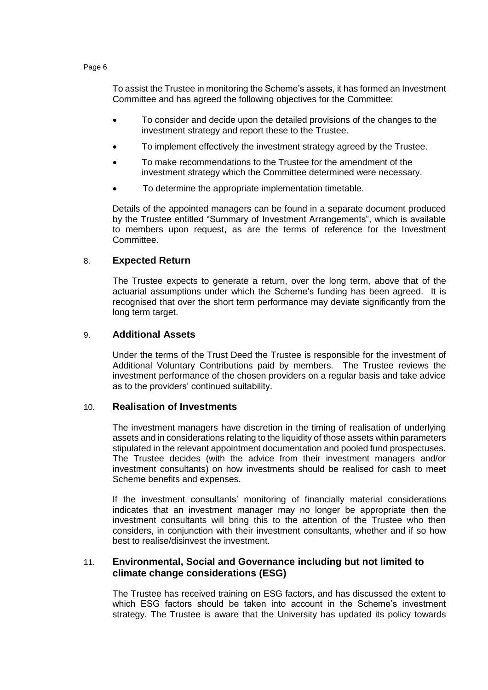To assist the Trustee in monitoring the Scheme's assets, it has formed an Investment Committee and has agreed the following objectives for the Committee:

- To consider and decide upon the detailed provisions of the changes to the investment strategy and report these to the Trustee.
- To implement effectively the investment strategy agreed by the Trustee.
- To make recommendations to the Trustee for the amendment of the investment strategy which the Committee determined were necessary.
- To determine the appropriate implementation timetable.

Details of the appointed managers can be found in a separate document produced by the Trustee entitled "Summary of Investment Arrangements", which is available to members upon request, as are the terms of reference for the Investment Committee.

# 8. **Expected Return**

The Trustee expects to generate a return, over the long term, above that of the actuarial assumptions under which the Scheme's funding has been agreed. It is recognised that over the short term performance may deviate significantly from the long term target.

# 9. **Additional Assets**

Under the terms of the Trust Deed the Trustee is responsible for the investment of Additional Voluntary Contributions paid by members. The Trustee reviews the investment performance of the chosen providers on a regular basis and take advice as to the providers' continued suitability.

# 10. **Realisation of Investments**

The investment managers have discretion in the timing of realisation of underlying assets and in considerations relating to the liquidity of those assets within parameters stipulated in the relevant appointment documentation and pooled fund prospectuses. The Trustee decides (with the advice from their investment managers and/or investment consultants) on how investments should be realised for cash to meet Scheme benefits and expenses.

If the investment consultants' monitoring of financially material considerations indicates that an investment manager may no longer be appropriate then the investment consultants will bring this to the attention of the Trustee who then considers, in conjunction with their investment consultants, whether and if so how best to realise/disinvest the investment.

# 11. **Environmental, Social and Governance including but not limited to climate change considerations (ESG)**

The Trustee has received training on ESG factors, and has discussed the extent to which ESG factors should be taken into account in the Scheme's investment strategy. The Trustee is aware that the University has updated its policy towards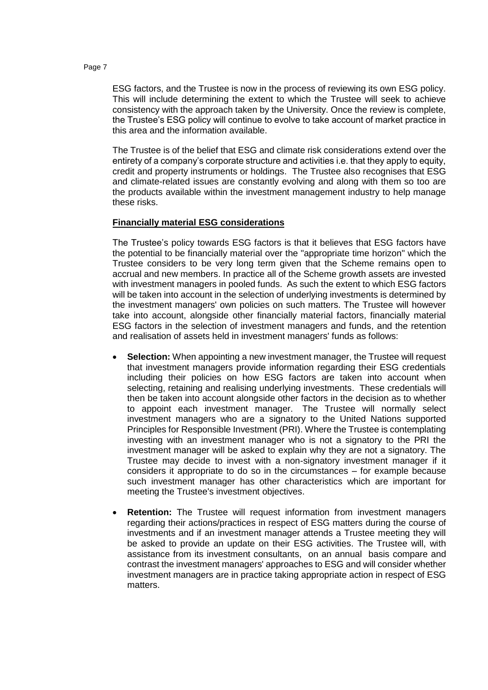ESG factors, and the Trustee is now in the process of reviewing its own ESG policy. This will include determining the extent to which the Trustee will seek to achieve consistency with the approach taken by the University. Once the review is complete, the Trustee's ESG policy will continue to evolve to take account of market practice in this area and the information available.

The Trustee is of the belief that ESG and climate risk considerations extend over the entirety of a company's corporate structure and activities i.e. that they apply to equity, credit and property instruments or holdings. The Trustee also recognises that ESG and climate-related issues are constantly evolving and along with them so too are the products available within the investment management industry to help manage these risks.

# **Financially material ESG considerations**

The Trustee's policy towards ESG factors is that it believes that ESG factors have the potential to be financially material over the "appropriate time horizon" which the Trustee considers to be very long term given that the Scheme remains open to accrual and new members. In practice all of the Scheme growth assets are invested with investment managers in pooled funds. As such the extent to which ESG factors will be taken into account in the selection of underlying investments is determined by the investment managers' own policies on such matters. The Trustee will however take into account, alongside other financially material factors, financially material ESG factors in the selection of investment managers and funds, and the retention and realisation of assets held in investment managers' funds as follows:

- **Selection:** When appointing a new investment manager, the Trustee will request that investment managers provide information regarding their ESG credentials including their policies on how ESG factors are taken into account when selecting, retaining and realising underlying investments. These credentials will then be taken into account alongside other factors in the decision as to whether to appoint each investment manager. The Trustee will normally select investment managers who are a signatory to the United Nations supported Principles for Responsible Investment (PRI). Where the Trustee is contemplating investing with an investment manager who is not a signatory to the PRI the investment manager will be asked to explain why they are not a signatory. The Trustee may decide to invest with a non-signatory investment manager if it considers it appropriate to do so in the circumstances – for example because such investment manager has other characteristics which are important for meeting the Trustee's investment objectives.
- **Retention:** The Trustee will request information from investment managers regarding their actions/practices in respect of ESG matters during the course of investments and if an investment manager attends a Trustee meeting they will be asked to provide an update on their ESG activities. The Trustee will, with assistance from its investment consultants, on an annual basis compare and contrast the investment managers' approaches to ESG and will consider whether investment managers are in practice taking appropriate action in respect of ESG matters.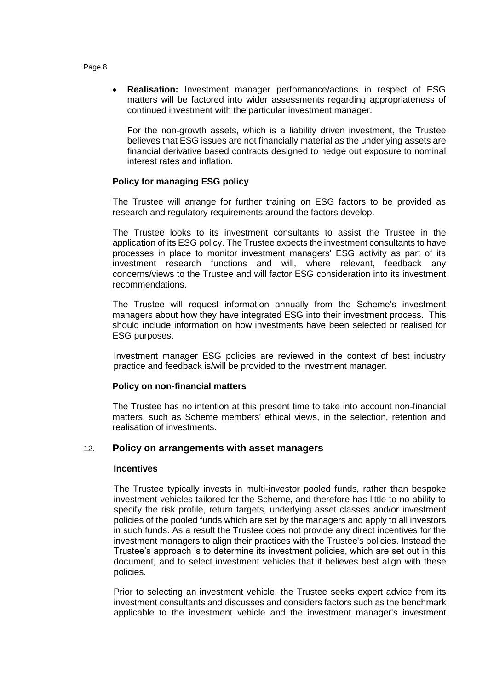**Realisation:** Investment manager performance/actions in respect of ESG matters will be factored into wider assessments regarding appropriateness of continued investment with the particular investment manager.

For the non-growth assets, which is a liability driven investment, the Trustee believes that ESG issues are not financially material as the underlying assets are financial derivative based contracts designed to hedge out exposure to nominal interest rates and inflation.

# **Policy for managing ESG policy**

The Trustee will arrange for further training on ESG factors to be provided as research and regulatory requirements around the factors develop.

The Trustee looks to its investment consultants to assist the Trustee in the application of its ESG policy. The Trustee expects the investment consultants to have processes in place to monitor investment managers' ESG activity as part of its investment research functions and will, where relevant, feedback any concerns/views to the Trustee and will factor ESG consideration into its investment recommendations.

The Trustee will request information annually from the Scheme's investment managers about how they have integrated ESG into their investment process. This should include information on how investments have been selected or realised for ESG purposes.

Investment manager ESG policies are reviewed in the context of best industry practice and feedback is/will be provided to the investment manager.

# **Policy on non-financial matters**

The Trustee has no intention at this present time to take into account non-financial matters, such as Scheme members' ethical views, in the selection, retention and realisation of investments.

# 12. **Policy on arrangements with asset managers**

# **Incentives**

The Trustee typically invests in multi-investor pooled funds, rather than bespoke investment vehicles tailored for the Scheme, and therefore has little to no ability to specify the risk profile, return targets, underlying asset classes and/or investment policies of the pooled funds which are set by the managers and apply to all investors in such funds. As a result the Trustee does not provide any direct incentives for the investment managers to align their practices with the Trustee's policies. Instead the Trustee's approach is to determine its investment policies, which are set out in this document, and to select investment vehicles that it believes best align with these policies.

Prior to selecting an investment vehicle, the Trustee seeks expert advice from its investment consultants and discusses and considers factors such as the benchmark applicable to the investment vehicle and the investment manager's investment

#### Page 8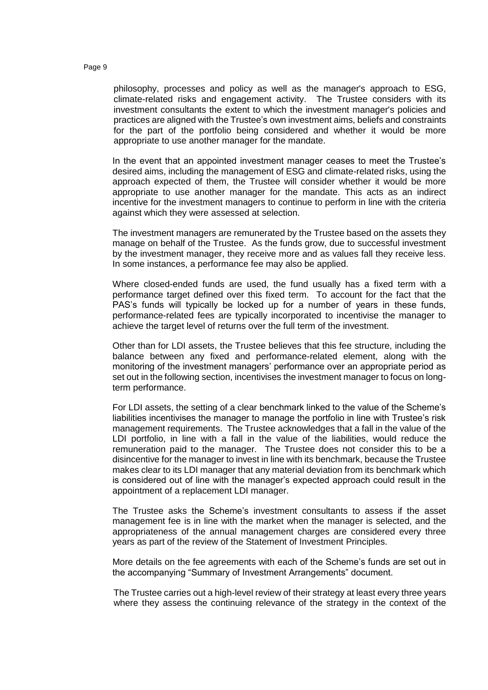philosophy, processes and policy as well as the manager's approach to ESG, climate-related risks and engagement activity. The Trustee considers with its investment consultants the extent to which the investment manager's policies and practices are aligned with the Trustee's own investment aims, beliefs and constraints for the part of the portfolio being considered and whether it would be more appropriate to use another manager for the mandate.

In the event that an appointed investment manager ceases to meet the Trustee's desired aims, including the management of ESG and climate-related risks, using the approach expected of them, the Trustee will consider whether it would be more appropriate to use another manager for the mandate. This acts as an indirect incentive for the investment managers to continue to perform in line with the criteria against which they were assessed at selection.

The investment managers are remunerated by the Trustee based on the assets they manage on behalf of the Trustee. As the funds grow, due to successful investment by the investment manager, they receive more and as values fall they receive less. In some instances, a performance fee may also be applied.

Where closed-ended funds are used, the fund usually has a fixed term with a performance target defined over this fixed term. To account for the fact that the PAS's funds will typically be locked up for a number of years in these funds, performance-related fees are typically incorporated to incentivise the manager to achieve the target level of returns over the full term of the investment.

Other than for LDI assets, the Trustee believes that this fee structure, including the balance between any fixed and performance-related element, along with the monitoring of the investment managers' performance over an appropriate period as set out in the following section, incentivises the investment manager to focus on longterm performance.

For LDI assets, the setting of a clear benchmark linked to the value of the Scheme's liabilities incentivises the manager to manage the portfolio in line with Trustee's risk management requirements. The Trustee acknowledges that a fall in the value of the LDI portfolio, in line with a fall in the value of the liabilities, would reduce the remuneration paid to the manager. The Trustee does not consider this to be a disincentive for the manager to invest in line with its benchmark, because the Trustee makes clear to its LDI manager that any material deviation from its benchmark which is considered out of line with the manager's expected approach could result in the appointment of a replacement LDI manager.

The Trustee asks the Scheme's investment consultants to assess if the asset management fee is in line with the market when the manager is selected, and the appropriateness of the annual management charges are considered every three years as part of the review of the Statement of Investment Principles.

More details on the fee agreements with each of the Scheme's funds are set out in the accompanying "Summary of Investment Arrangements" document.

The Trustee carries out a high-level review of their strategy at least every three years where they assess the continuing relevance of the strategy in the context of the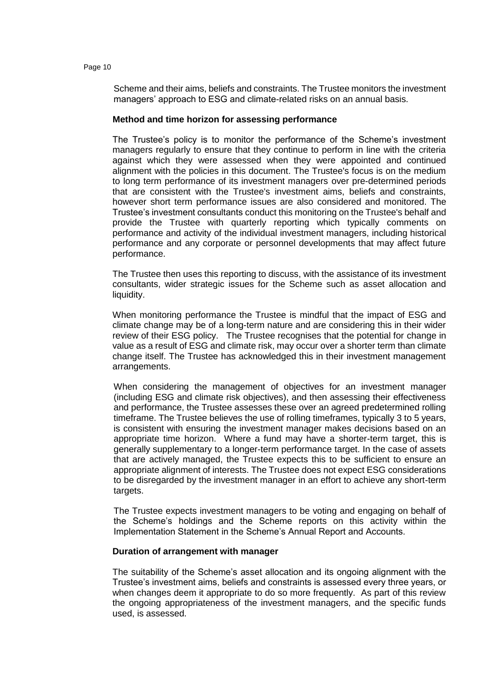Scheme and their aims, beliefs and constraints. The Trustee monitors the investment managers' approach to ESG and climate-related risks on an annual basis.

#### **Method and time horizon for assessing performance**

The Trustee's policy is to monitor the performance of the Scheme's investment managers regularly to ensure that they continue to perform in line with the criteria against which they were assessed when they were appointed and continued alignment with the policies in this document. The Trustee's focus is on the medium to long term performance of its investment managers over pre-determined periods that are consistent with the Trustee's investment aims, beliefs and constraints, however short term performance issues are also considered and monitored. The Trustee's investment consultants conduct this monitoring on the Trustee's behalf and provide the Trustee with quarterly reporting which typically comments on performance and activity of the individual investment managers, including historical performance and any corporate or personnel developments that may affect future performance.

The Trustee then uses this reporting to discuss, with the assistance of its investment consultants, wider strategic issues for the Scheme such as asset allocation and liquidity.

When monitoring performance the Trustee is mindful that the impact of ESG and climate change may be of a long-term nature and are considering this in their wider review of their ESG policy. The Trustee recognises that the potential for change in value as a result of ESG and climate risk, may occur over a shorter term than climate change itself. The Trustee has acknowledged this in their investment management arrangements.

When considering the management of objectives for an investment manager (including ESG and climate risk objectives), and then assessing their effectiveness and performance, the Trustee assesses these over an agreed predetermined rolling timeframe. The Trustee believes the use of rolling timeframes, typically 3 to 5 years, is consistent with ensuring the investment manager makes decisions based on an appropriate time horizon. Where a fund may have a shorter-term target, this is generally supplementary to a longer-term performance target. In the case of assets that are actively managed, the Trustee expects this to be sufficient to ensure an appropriate alignment of interests. The Trustee does not expect ESG considerations to be disregarded by the investment manager in an effort to achieve any short-term targets.

The Trustee expects investment managers to be voting and engaging on behalf of the Scheme's holdings and the Scheme reports on this activity within the Implementation Statement in the Scheme's Annual Report and Accounts.

# **Duration of arrangement with manager**

The suitability of the Scheme's asset allocation and its ongoing alignment with the Trustee's investment aims, beliefs and constraints is assessed every three years, or when changes deem it appropriate to do so more frequently. As part of this review the ongoing appropriateness of the investment managers, and the specific funds used, is assessed.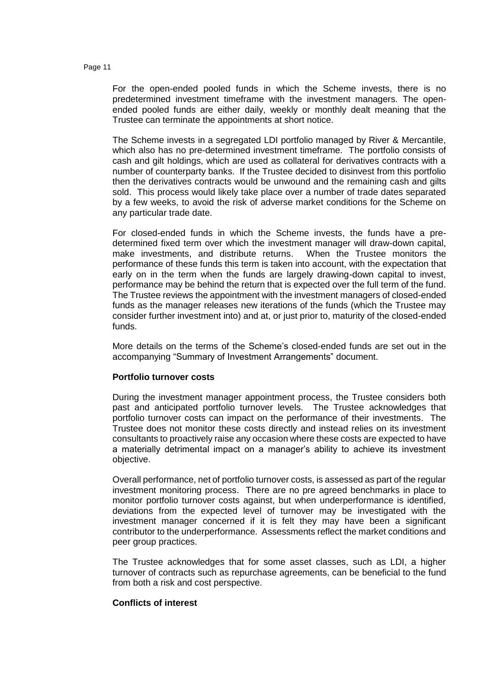For the open-ended pooled funds in which the Scheme invests, there is no predetermined investment timeframe with the investment managers. The openended pooled funds are either daily, weekly or monthly dealt meaning that the Trustee can terminate the appointments at short notice.

The Scheme invests in a segregated LDI portfolio managed by River & Mercantile, which also has no pre-determined investment timeframe. The portfolio consists of cash and gilt holdings, which are used as collateral for derivatives contracts with a number of counterparty banks. If the Trustee decided to disinvest from this portfolio then the derivatives contracts would be unwound and the remaining cash and gilts sold. This process would likely take place over a number of trade dates separated by a few weeks, to avoid the risk of adverse market conditions for the Scheme on any particular trade date.

For closed-ended funds in which the Scheme invests, the funds have a predetermined fixed term over which the investment manager will draw-down capital, make investments, and distribute returns. When the Trustee monitors the performance of these funds this term is taken into account, with the expectation that early on in the term when the funds are largely drawing-down capital to invest, performance may be behind the return that is expected over the full term of the fund. The Trustee reviews the appointment with the investment managers of closed-ended funds as the manager releases new iterations of the funds (which the Trustee may consider further investment into) and at, or just prior to, maturity of the closed-ended funds.

More details on the terms of the Scheme's closed-ended funds are set out in the accompanying "Summary of Investment Arrangements" document.

# **Portfolio turnover costs**

During the investment manager appointment process, the Trustee considers both past and anticipated portfolio turnover levels. The Trustee acknowledges that portfolio turnover costs can impact on the performance of their investments. The Trustee does not monitor these costs directly and instead relies on its investment consultants to proactively raise any occasion where these costs are expected to have a materially detrimental impact on a manager's ability to achieve its investment objective.

Overall performance, net of portfolio turnover costs, is assessed as part of the regular investment monitoring process. There are no pre agreed benchmarks in place to monitor portfolio turnover costs against, but when underperformance is identified, deviations from the expected level of turnover may be investigated with the investment manager concerned if it is felt they may have been a significant contributor to the underperformance. Assessments reflect the market conditions and peer group practices.

The Trustee acknowledges that for some asset classes, such as LDI, a higher turnover of contracts such as repurchase agreements, can be beneficial to the fund from both a risk and cost perspective.

# **Conflicts of interest**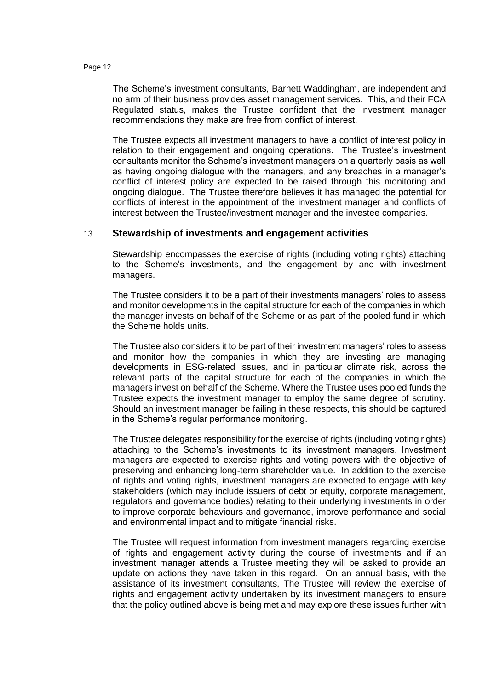The Scheme's investment consultants, Barnett Waddingham, are independent and no arm of their business provides asset management services. This, and their FCA Regulated status, makes the Trustee confident that the investment manager recommendations they make are free from conflict of interest.

The Trustee expects all investment managers to have a conflict of interest policy in relation to their engagement and ongoing operations. The Trustee's investment consultants monitor the Scheme's investment managers on a quarterly basis as well as having ongoing dialogue with the managers, and any breaches in a manager's conflict of interest policy are expected to be raised through this monitoring and ongoing dialogue. The Trustee therefore believes it has managed the potential for conflicts of interest in the appointment of the investment manager and conflicts of interest between the Trustee/investment manager and the investee companies.

# 13. **Stewardship of investments and engagement activities**

Stewardship encompasses the exercise of rights (including voting rights) attaching to the Scheme's investments, and the engagement by and with investment managers.

The Trustee considers it to be a part of their investments managers' roles to assess and monitor developments in the capital structure for each of the companies in which the manager invests on behalf of the Scheme or as part of the pooled fund in which the Scheme holds units.

The Trustee also considers it to be part of their investment managers' roles to assess and monitor how the companies in which they are investing are managing developments in ESG-related issues, and in particular climate risk, across the relevant parts of the capital structure for each of the companies in which the managers invest on behalf of the Scheme. Where the Trustee uses pooled funds the Trustee expects the investment manager to employ the same degree of scrutiny. Should an investment manager be failing in these respects, this should be captured in the Scheme's regular performance monitoring.

The Trustee delegates responsibility for the exercise of rights (including voting rights) attaching to the Scheme's investments to its investment managers. Investment managers are expected to exercise rights and voting powers with the objective of preserving and enhancing long-term shareholder value. In addition to the exercise of rights and voting rights, investment managers are expected to engage with key stakeholders (which may include issuers of debt or equity, corporate management, regulators and governance bodies) relating to their underlying investments in order to improve corporate behaviours and governance, improve performance and social and environmental impact and to mitigate financial risks.

The Trustee will request information from investment managers regarding exercise of rights and engagement activity during the course of investments and if an investment manager attends a Trustee meeting they will be asked to provide an update on actions they have taken in this regard. On an annual basis, with the assistance of its investment consultants, The Trustee will review the exercise of rights and engagement activity undertaken by its investment managers to ensure that the policy outlined above is being met and may explore these issues further with